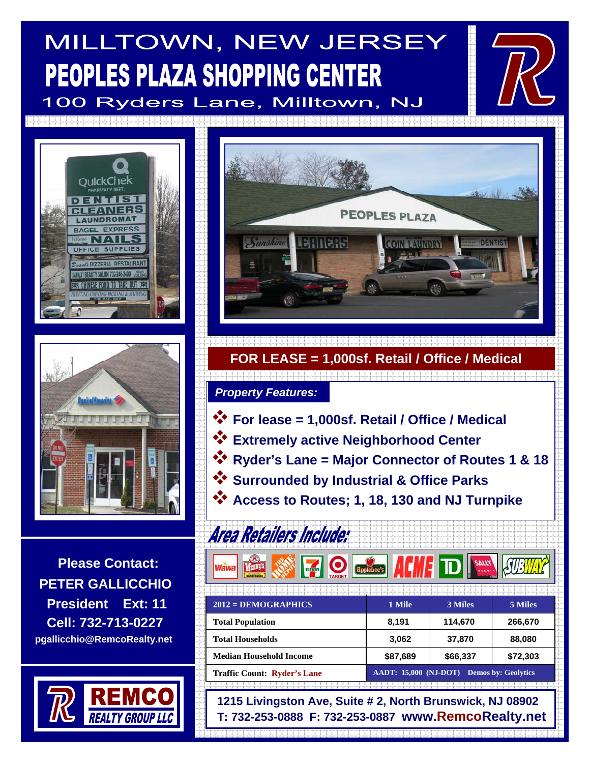